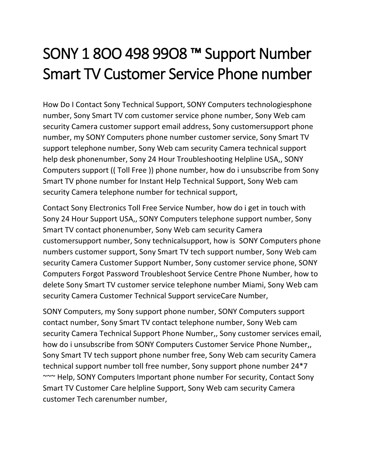## SONY 1 8OO 498 99O8 ™ Support Number Smart TV Customer Service Phone number

How Do I Contact Sony Technical Support, SONY Computers technologiesphone number, Sony Smart TV com customer service phone number, Sony Web cam security Camera customer support email address, Sony customersupport phone number, my SONY Computers phone number customer service, Sony Smart TV support telephone number, Sony Web cam security Camera technical support help desk phonenumber, Sony 24 Hour Troubleshooting Helpline USA,, SONY Computers support (( Toll Free )) phone number, how do i unsubscribe from Sony Smart TV phone number for Instant Help Technical Support, Sony Web cam security Camera telephone number for technical support,

Contact Sony Electronics Toll Free Service Number, how do i get in touch with Sony 24 Hour Support USA,, SONY Computers telephone support number, Sony Smart TV contact phonenumber, Sony Web cam security Camera customersupport number, Sony technicalsupport, how is SONY Computers phone numbers customer support, Sony Smart TV tech support number, Sony Web cam security Camera Customer Support Number, Sony customer service phone, SONY Computers Forgot Password Troubleshoot Service Centre Phone Number, how to delete Sony Smart TV customer service telephone number Miami, Sony Web cam security Camera Customer Technical Support serviceCare Number,

SONY Computers, my Sony support phone number, SONY Computers support contact number, Sony Smart TV contact telephone number, Sony Web cam security Camera Technical Support Phone Number,, Sony customer services email, how do i unsubscribe from SONY Computers Customer Service Phone Number,, Sony Smart TV tech support phone number free, Sony Web cam security Camera technical support number toll free number, Sony support phone number 24\*7 ~~~ Help, SONY Computers Important phone number For security, Contact Sony Smart TV Customer Care helpline Support, Sony Web cam security Camera customer Tech carenumber number,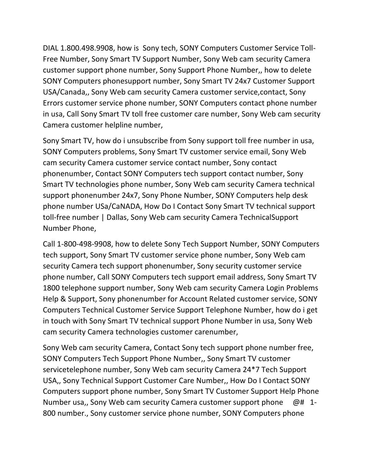DIAL 1.800.498.9908, how is Sony tech, SONY Computers Customer Service Toll-Free Number, Sony Smart TV Support Number, Sony Web cam security Camera customer support phone number, Sony Support Phone Number,, how to delete SONY Computers phonesupport number, Sony Smart TV 24x7 Customer Support USA/Canada,, Sony Web cam security Camera customer service,contact, Sony Errors customer service phone number, SONY Computers contact phone number in usa, Call Sony Smart TV toll free customer care number, Sony Web cam security Camera customer helpline number,

Sony Smart TV, how do i unsubscribe from Sony support toll free number in usa, SONY Computers problems, Sony Smart TV customer service email, Sony Web cam security Camera customer service contact number, Sony contact phonenumber, Contact SONY Computers tech support contact number, Sony Smart TV technologies phone number, Sony Web cam security Camera technical support phonenumber 24x7, Sony Phone Number, SONY Computers help desk phone number USa/CaNADA, How Do I Contact Sony Smart TV technical support toll-free number | Dallas, Sony Web cam security Camera TechnicalSupport Number Phone,

Call 1-800-498-9908, how to delete Sony Tech Support Number, SONY Computers tech support, Sony Smart TV customer service phone number, Sony Web cam security Camera tech support phonenumber, Sony security customer service phone number, Call SONY Computers tech support email address, Sony Smart TV 1800 telephone support number, Sony Web cam security Camera Login Problems Help & Support, Sony phonenumber for Account Related customer service, SONY Computers Technical Customer Service Support Telephone Number, how do i get in touch with Sony Smart TV technical support Phone Number in usa, Sony Web cam security Camera technologies customer carenumber,

Sony Web cam security Camera, Contact Sony tech support phone number free, SONY Computers Tech Support Phone Number,, Sony Smart TV customer servicetelephone number, Sony Web cam security Camera 24\*7 Tech Support USA,, Sony Technical Support Customer Care Number,, How Do I Contact SONY Computers support phone number, Sony Smart TV Customer Support Help Phone Number usa,, Sony Web cam security Camera customer support phone  $\omega$ # 1-800 number., Sony customer service phone number, SONY Computers phone